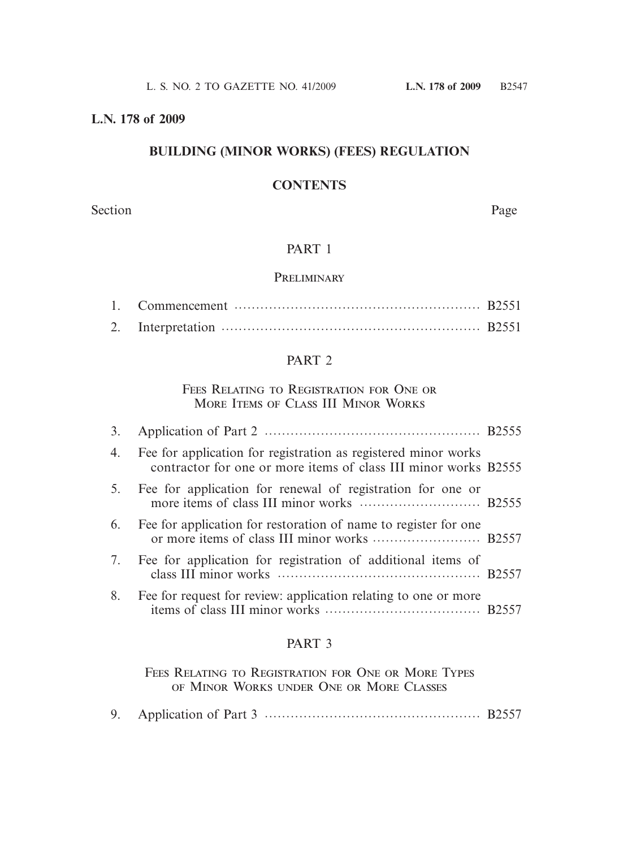#### **L.N. 178 of 2009**

# **BUILDING (MINOR WORKS) (FEES) REGULATION**

# **CONTENTS**

Section Page

#### PART 1

#### **PRELIMINARY**

## PART 2

#### Fees Relating to Registration for One or MORE ITEMS OF CLASS III MINOR WORKS

| 4. | Fee for application for registration as registered minor works<br>contractor for one or more items of class III minor works B2555 |  |
|----|-----------------------------------------------------------------------------------------------------------------------------------|--|
| 5. | Fee for application for renewal of registration for one or                                                                        |  |
| 6. | Fee for application for restoration of name to register for one                                                                   |  |
|    | 7. Fee for application for registration of additional items of                                                                    |  |
| 8. | Fee for request for review: application relating to one or more                                                                   |  |
|    |                                                                                                                                   |  |

## PART 3

FEES RELATING TO REGISTRATION FOR ONE OR MORE TYPES of Minor Works under One or More Classes

|--|--|--|--|--|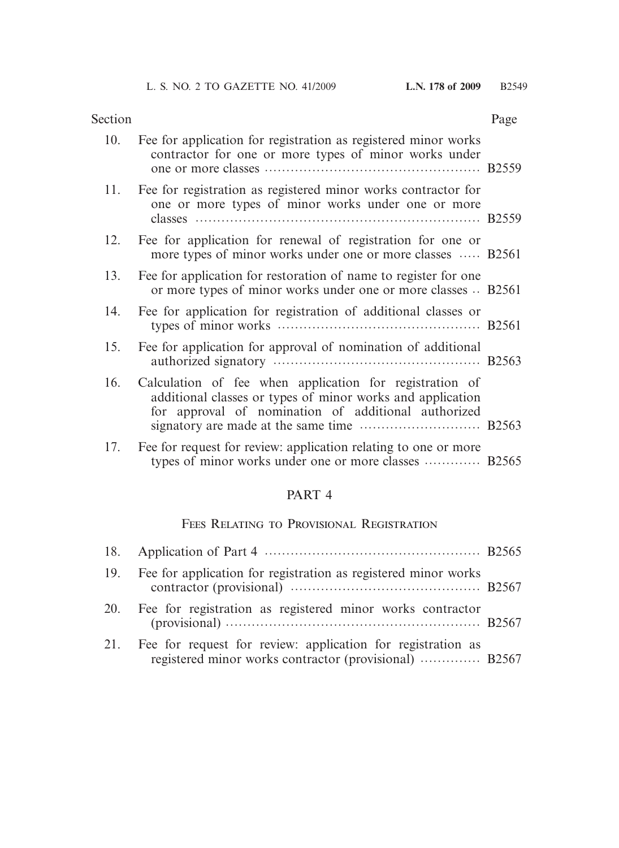| Section |                                                                                                                                                                              | Page |
|---------|------------------------------------------------------------------------------------------------------------------------------------------------------------------------------|------|
| 10.     | Fee for application for registration as registered minor works<br>contractor for one or more types of minor works under                                                      |      |
| 11.     | Fee for registration as registered minor works contractor for<br>one or more types of minor works under one or more                                                          |      |
| 12.     | Fee for application for renewal of registration for one or<br>more types of minor works under one or more classes  B2561                                                     |      |
| 13.     | Fee for application for restoration of name to register for one<br>or more types of minor works under one or more classes  B2561                                             |      |
| 14.     | Fee for application for registration of additional classes or                                                                                                                |      |
| 15.     | Fee for application for approval of nomination of additional                                                                                                                 |      |
| 16.     | Calculation of fee when application for registration of<br>additional classes or types of minor works and application<br>for approval of nomination of additional authorized |      |
| 17.     | Fee for request for review: application relating to one or more<br>types of minor works under one or more classes  B2565                                                     |      |
|         |                                                                                                                                                                              |      |

# PART 4

# Fees Relating to Provisional Registration

| 19. | Fee for application for registration as registered minor works                                                        |  |
|-----|-----------------------------------------------------------------------------------------------------------------------|--|
| 20. | Fee for registration as registered minor works contractor                                                             |  |
| 21. | Fee for request for review: application for registration as<br>registered minor works contractor (provisional)  B2567 |  |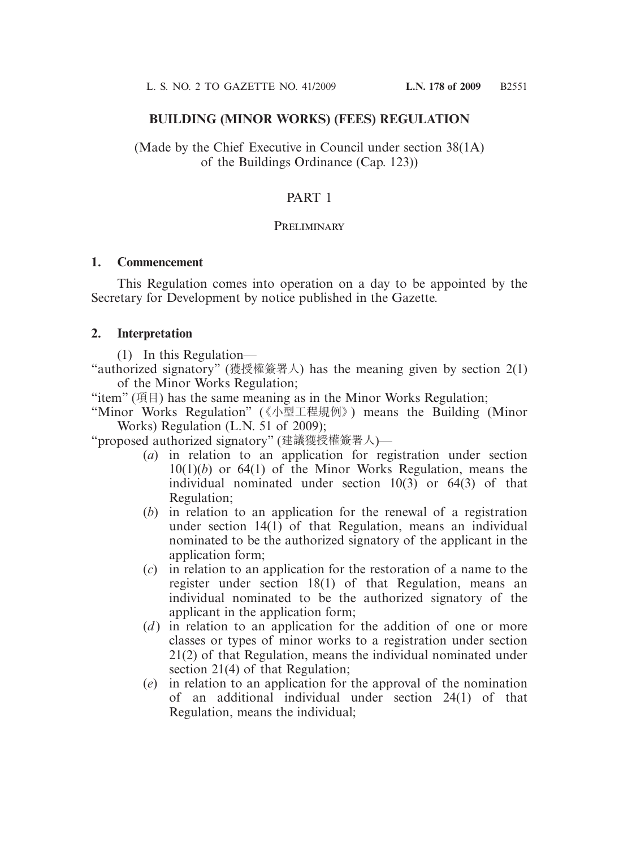#### **BUILDING (MINOR WORKS) (FEES) REGULATION**

(Made by the Chief Executive in Council under section 38(1A) of the Buildings Ordinance (Cap. 123))

## PART 1

#### **PRELIMINARY**

#### **1. Commencement**

 This Regulation comes into operation on a day to be appointed by the Secretary for Development by notice published in the Gazette.

#### **2. Interpretation**

(1) In this Regulation—

"authorized signatory" (獲授權簽署人) has the meaning given by section 2(1) of the Minor Works Regulation;

"item" (項目) has the same meaning as in the Minor Works Regulation;

"Minor Works Regulation" (《小型工程規例》) means the Building (Minor Works) Regulation (L.N. 51 of 2009);

"proposed authorized signatory" (建議獲授權簽署人)—

- (*a*) in relation to an application for registration under section 10(1)(*b*) or 64(1) of the Minor Works Regulation, means the individual nominated under section 10(3) or 64(3) of that Regulation;
- (*b*) in relation to an application for the renewal of a registration under section 14(1) of that Regulation, means an individual nominated to be the authorized signatory of the applicant in the application form;
- (*c*) in relation to an application for the restoration of a name to the register under section 18(1) of that Regulation, means an individual nominated to be the authorized signatory of the applicant in the application form;
- (*d*) in relation to an application for the addition of one or more classes or types of minor works to a registration under section 21(2) of that Regulation, means the individual nominated under section 21(4) of that Regulation;
- (*e*) in relation to an application for the approval of the nomination of an additional individual under section 24(1) of that Regulation, means the individual;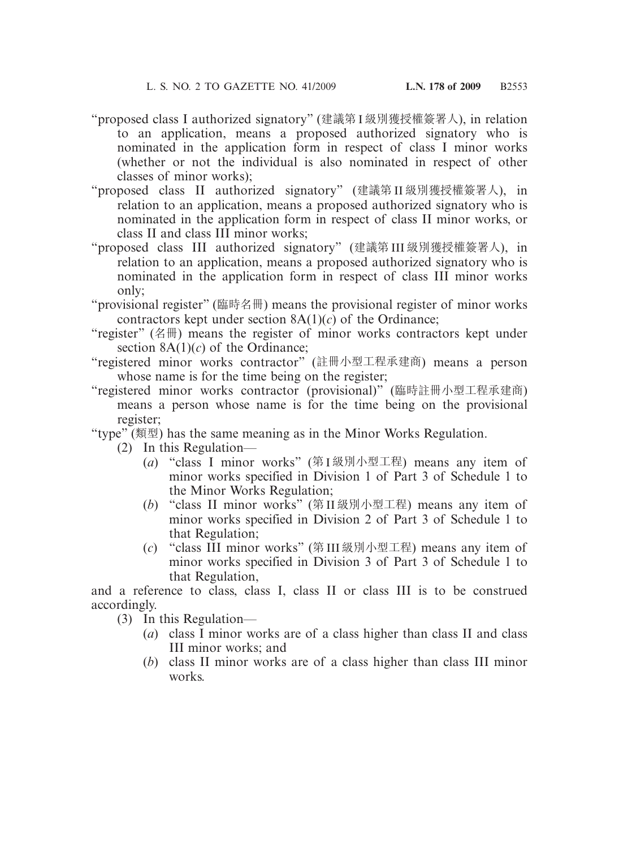- "proposed class I authorized signatory" (建議第 I 級別獲授權簽署人), in relation to an application, means a proposed authorized signatory who is nominated in the application form in respect of class I minor works (whether or not the individual is also nominated in respect of other classes of minor works);
- "proposed class II authorized signatory" (建議第 II 級別獲授權簽署人), in relation to an application, means a proposed authorized signatory who is nominated in the application form in respect of class II minor works, or class II and class III minor works;
- "proposed class III authorized signatory" (建議第 III 級別獲授權簽署人), in relation to an application, means a proposed authorized signatory who is nominated in the application form in respect of class III minor works only;
- "provisional register" (臨時名冊) means the provisional register of minor works contractors kept under section  $8A(1)(c)$  of the Ordinance;
- "register" (名冊) means the register of minor works contractors kept under section  $8A(1)(c)$  of the Ordinance;
- "registered minor works contractor" (註冊小型工程承建商) means a person whose name is for the time being on the register;
- "registered minor works contractor (provisional)" (臨時註冊小型工程承建商) means a person whose name is for the time being on the provisional register;
- "type" (類型) has the same meaning as in the Minor Works Regulation.
	- (2) In this Regulation—
		- (*a*) "class I minor works" (第 I 級別小型工程) means any item of minor works specified in Division 1 of Part 3 of Schedule 1 to the Minor Works Regulation;
		- (*b*) "class II minor works" (第 II 級別小型工程) means any item of minor works specified in Division 2 of Part 3 of Schedule 1 to that Regulation;
		- (*c*) "class III minor works" (第 III 級別小型工程) means any item of minor works specified in Division 3 of Part 3 of Schedule 1 to that Regulation,

and a reference to class, class I, class II or class III is to be construed accordingly.

- (3) In this Regulation—
	- (*a*) class I minor works are of a class higher than class II and class III minor works; and
	- (*b*) class II minor works are of a class higher than class III minor works.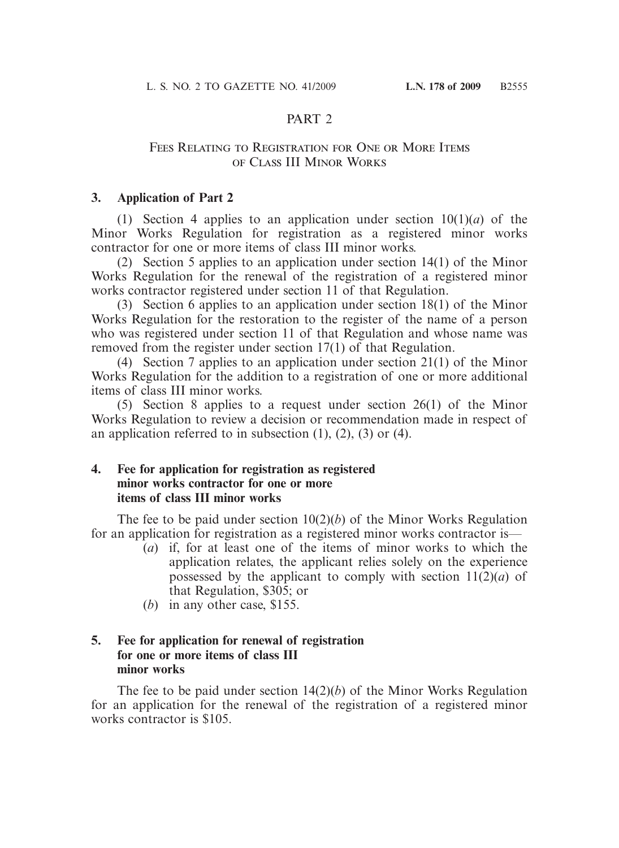# PART<sub>2</sub>

### Fees Relating to Registration for One or More Items of Class III Minor Works

## **3. Application of Part 2**

(1) Section 4 applies to an application under section  $10(1)(a)$  of the Minor Works Regulation for registration as a registered minor works contractor for one or more items of class III minor works.

 (2) Section 5 applies to an application under section 14(1) of the Minor Works Regulation for the renewal of the registration of a registered minor works contractor registered under section 11 of that Regulation.

 (3) Section 6 applies to an application under section 18(1) of the Minor Works Regulation for the restoration to the register of the name of a person who was registered under section 11 of that Regulation and whose name was removed from the register under section 17(1) of that Regulation.

 (4) Section 7 applies to an application under section 21(1) of the Minor Works Regulation for the addition to a registration of one or more additional items of class III minor works.

 (5) Section 8 applies to a request under section 26(1) of the Minor Works Regulation to review a decision or recommendation made in respect of an application referred to in subsection  $(1)$ ,  $(2)$ ,  $(3)$  or  $(4)$ .

#### **4. Fee for application for registration as registered minor works contractor for one or more items of class III minor works**

 The fee to be paid under section 10(2)(*b*) of the Minor Works Regulation for an application for registration as a registered minor works contractor is—

- (*a*) if, for at least one of the items of minor works to which the application relates, the applicant relies solely on the experience possessed by the applicant to comply with section  $11(2)(a)$  of that Regulation, \$305; or
- (*b*) in any other case, \$155.

### **5. Fee for application for renewal of registration for one or more items of class III minor works**

 The fee to be paid under section 14(2)(*b*) of the Minor Works Regulation for an application for the renewal of the registration of a registered minor works contractor is \$105.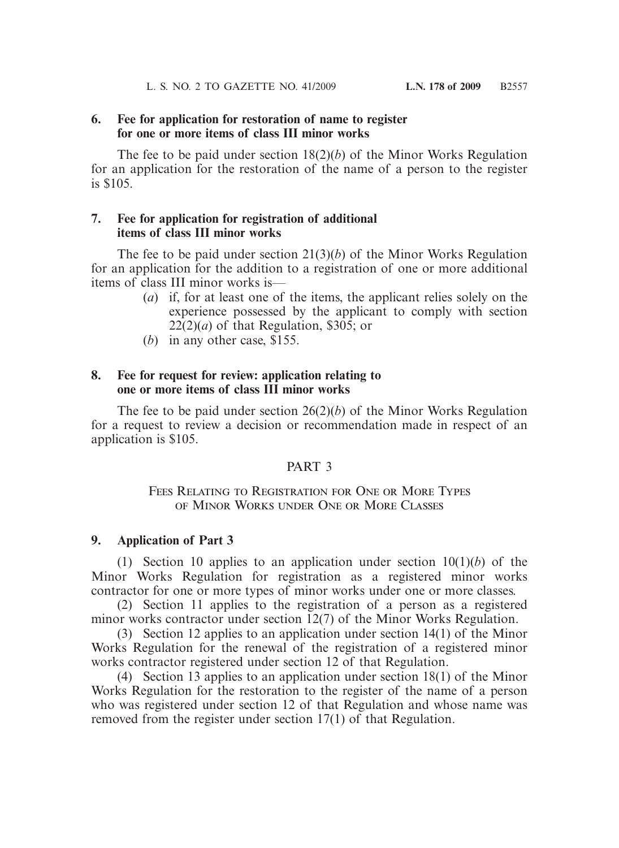## **6. Fee for application for restoration of name to register for one or more items of class III minor works**

 The fee to be paid under section 18(2)(*b*) of the Minor Works Regulation for an application for the restoration of the name of a person to the register is \$105.

## **7. Fee for application for registration of additional items of class III minor works**

 The fee to be paid under section 21(3)(*b*) of the Minor Works Regulation for an application for the addition to a registration of one or more additional items of class III minor works is—

- (*a*) if, for at least one of the items, the applicant relies solely on the experience possessed by the applicant to comply with section  $22(2)(a)$  of that Regulation, \$305; or
- (*b*) in any other case, \$155.

#### **8. Fee for request for review: application relating to one or more items of class III minor works**

 The fee to be paid under section 26(2)(*b*) of the Minor Works Regulation for a request to review a decision or recommendation made in respect of an application is \$105.

## PART 3

## FEES RELATING TO REGISTRATION FOR ONE OR MORE TYPES of Minor Works under One or More Classes

#### **9. Application of Part 3**

 (1) Section 10 applies to an application under section 10(1)(*b*) of the Minor Works Regulation for registration as a registered minor works contractor for one or more types of minor works under one or more classes.

 (2) Section 11 applies to the registration of a person as a registered minor works contractor under section 12(7) of the Minor Works Regulation.

 (3) Section 12 applies to an application under section 14(1) of the Minor Works Regulation for the renewal of the registration of a registered minor works contractor registered under section 12 of that Regulation.

 (4) Section 13 applies to an application under section 18(1) of the Minor Works Regulation for the restoration to the register of the name of a person who was registered under section 12 of that Regulation and whose name was removed from the register under section 17(1) of that Regulation.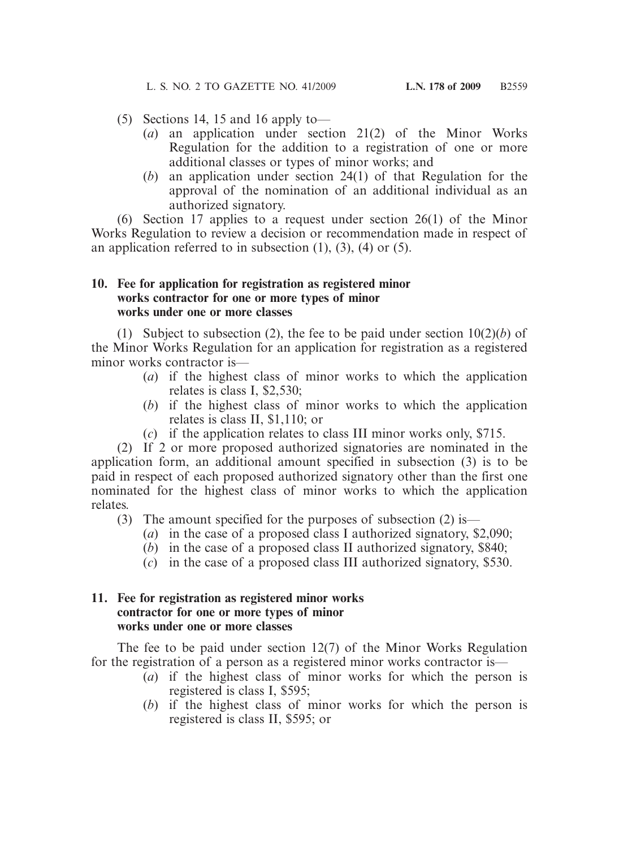- (5) Sections 14, 15 and 16 apply to—
	- (*a*) an application under section 21(2) of the Minor Works Regulation for the addition to a registration of one or more additional classes or types of minor works; and
	- (*b*) an application under section 24(1) of that Regulation for the approval of the nomination of an additional individual as an authorized signatory.

 (6) Section 17 applies to a request under section 26(1) of the Minor Works Regulation to review a decision or recommendation made in respect of an application referred to in subsection  $(1)$ ,  $(3)$ ,  $(4)$  or  $(5)$ .

#### **10. Fee for application for registration as registered minor works contractor for one or more types of minor works under one or more classes**

 (1) Subject to subsection (2), the fee to be paid under section 10(2)(*b*) of the Minor Works Regulation for an application for registration as a registered minor works contractor is—

- (*a*) if the highest class of minor works to which the application relates is class I, \$2,530;
- (*b*) if the highest class of minor works to which the application relates is class II, \$1,110; or
- (*c*) if the application relates to class III minor works only, \$715.

 (2) If 2 or more proposed authorized signatories are nominated in the application form, an additional amount specified in subsection (3) is to be paid in respect of each proposed authorized signatory other than the first one nominated for the highest class of minor works to which the application relates.

(3) The amount specified for the purposes of subsection (2) is—

- (*a*) in the case of a proposed class I authorized signatory, \$2,090;
- (*b*) in the case of a proposed class II authorized signatory, \$840;
- (*c*) in the case of a proposed class III authorized signatory, \$530.

## **11. Fee for registration as registered minor works contractor for one or more types of minor works under one or more classes**

 The fee to be paid under section 12(7) of the Minor Works Regulation for the registration of a person as a registered minor works contractor is—

- (*a*) if the highest class of minor works for which the person is registered is class I, \$595;
- (*b*) if the highest class of minor works for which the person is registered is class II, \$595; or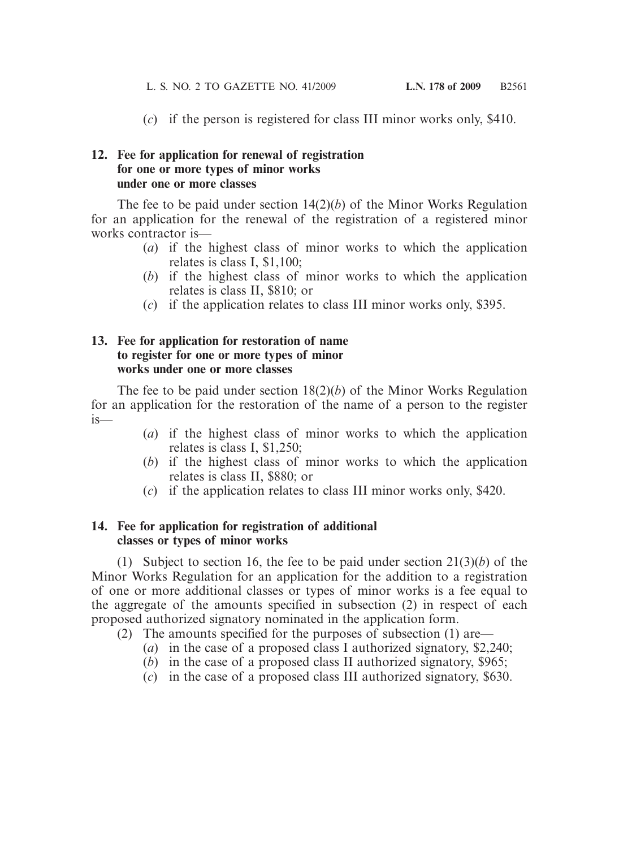(*c*) if the person is registered for class III minor works only, \$410.

#### **12. Fee for application for renewal of registration for one or more types of minor works under one or more classes**

 The fee to be paid under section 14(2)(*b*) of the Minor Works Regulation for an application for the renewal of the registration of a registered minor works contractor is—

- (*a*) if the highest class of minor works to which the application relates is class I, \$1,100;
- (*b*) if the highest class of minor works to which the application relates is class II, \$810; or
- (*c*) if the application relates to class III minor works only, \$395.

#### **13. Fee for application for restoration of name to register for one or more types of minor works under one or more classes**

 The fee to be paid under section 18(2)(*b*) of the Minor Works Regulation for an application for the restoration of the name of a person to the register  $i<sub>s</sub>$ 

- (*a*) if the highest class of minor works to which the application relates is class I, \$1,250;
- (*b*) if the highest class of minor works to which the application relates is class II, \$880; or
- (*c*) if the application relates to class III minor works only, \$420.

## **14. Fee for application for registration of additional classes or types of minor works**

 (1) Subject to section 16, the fee to be paid under section 21(3)(*b*) of the Minor Works Regulation for an application for the addition to a registration of one or more additional classes or types of minor works is a fee equal to the aggregate of the amounts specified in subsection (2) in respect of each proposed authorized signatory nominated in the application form.

- (2) The amounts specified for the purposes of subsection (1) are—
	- (*a*) in the case of a proposed class I authorized signatory, \$2,240;
	- (*b*) in the case of a proposed class II authorized signatory, \$965;
	- (*c*) in the case of a proposed class III authorized signatory, \$630.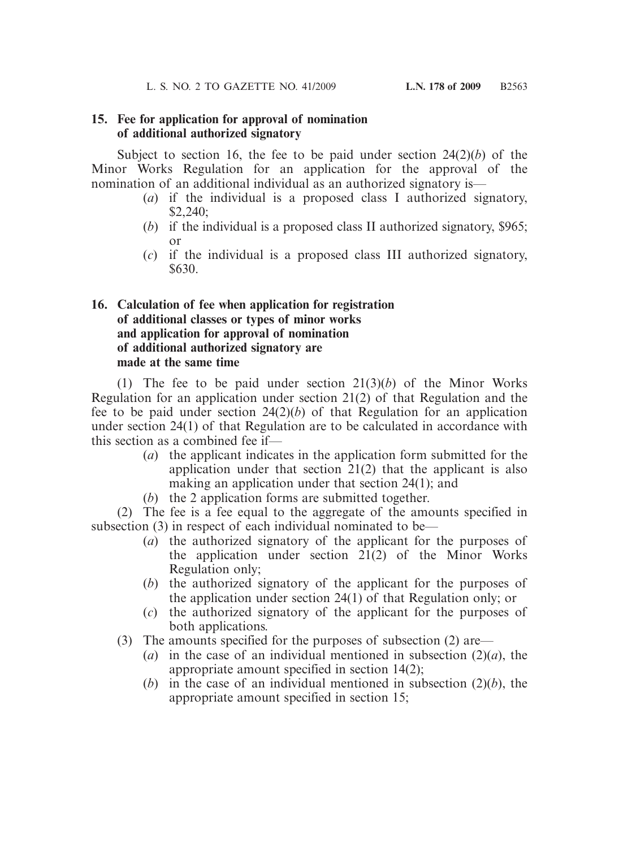#### **15. Fee for application for approval of nomination of additional authorized signatory**

Subject to section 16, the fee to be paid under section  $24(2)(b)$  of the Minor Works Regulation for an application for the approval of the nomination of an additional individual as an authorized signatory is—

- (*a*) if the individual is a proposed class I authorized signatory, \$2,240;
- (*b*) if the individual is a proposed class II authorized signatory, \$965; or
- (*c*) if the individual is a proposed class III authorized signatory, \$630.

## **16. Calculation of fee when application for registration of additional classes or types of minor works and application for approval of nomination of additional authorized signatory are made at the same time**

 (1) The fee to be paid under section 21(3)(*b*) of the Minor Works Regulation for an application under section 21(2) of that Regulation and the fee to be paid under section  $24(2)(b)$  of that Regulation for an application under section 24(1) of that Regulation are to be calculated in accordance with this section as a combined fee if—

- (*a*) the applicant indicates in the application form submitted for the application under that section 21(2) that the applicant is also making an application under that section 24(1); and
- (*b*) the 2 application forms are submitted together.

 (2) The fee is a fee equal to the aggregate of the amounts specified in subsection (3) in respect of each individual nominated to be—

- (*a*) the authorized signatory of the applicant for the purposes of the application under section  $21(2)$  of the Minor Works Regulation only;
- (*b*) the authorized signatory of the applicant for the purposes of the application under section 24(1) of that Regulation only; or
- (*c*) the authorized signatory of the applicant for the purposes of both applications.
- (3) The amounts specified for the purposes of subsection (2) are—
	- (*a*) in the case of an individual mentioned in subsection  $(2)(a)$ , the appropriate amount specified in section 14(2);
	- (*b*) in the case of an individual mentioned in subsection (2)(*b*), the appropriate amount specified in section 15;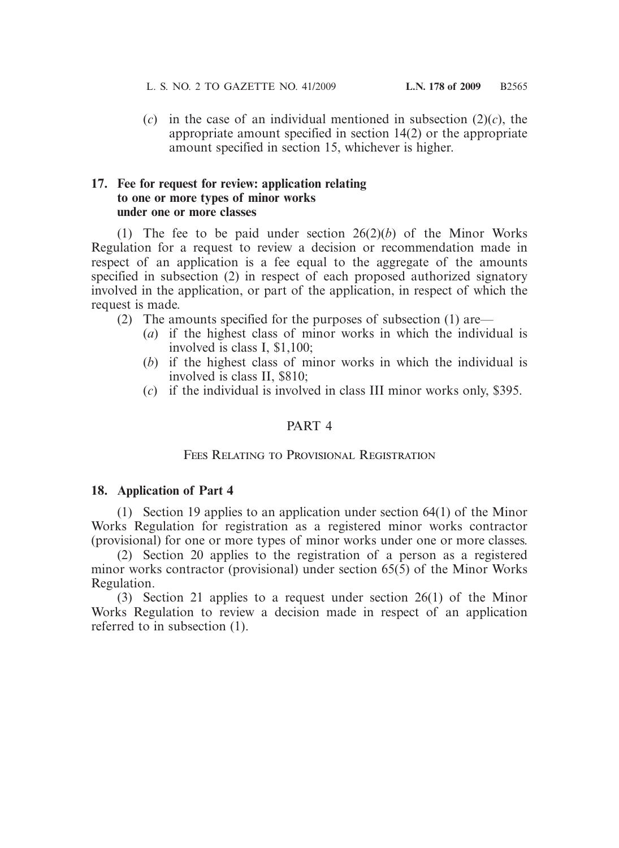(*c*) in the case of an individual mentioned in subsection (2)(*c*), the appropriate amount specified in section 14(2) or the appropriate amount specified in section 15, whichever is higher.

#### **17. Fee for request for review: application relating to one or more types of minor works under one or more classes**

 (1) The fee to be paid under section 26(2)(*b*) of the Minor Works Regulation for a request to review a decision or recommendation made in respect of an application is a fee equal to the aggregate of the amounts specified in subsection (2) in respect of each proposed authorized signatory involved in the application, or part of the application, in respect of which the request is made.

- (2) The amounts specified for the purposes of subsection (1) are—
	- (*a*) if the highest class of minor works in which the individual is involved is class I, \$1,100;
	- (*b*) if the highest class of minor works in which the individual is involved is class II, \$810;
	- (*c*) if the individual is involved in class III minor works only, \$395.

# PART 4

## Fees Relating to Provisional Registration

## **18. Application of Part 4**

 (1) Section 19 applies to an application under section 64(1) of the Minor Works Regulation for registration as a registered minor works contractor (provisional) for one or more types of minor works under one or more classes.

 (2) Section 20 applies to the registration of a person as a registered minor works contractor (provisional) under section  $65(5)$  of the Minor Works Regulation.

 (3) Section 21 applies to a request under section 26(1) of the Minor Works Regulation to review a decision made in respect of an application referred to in subsection (1).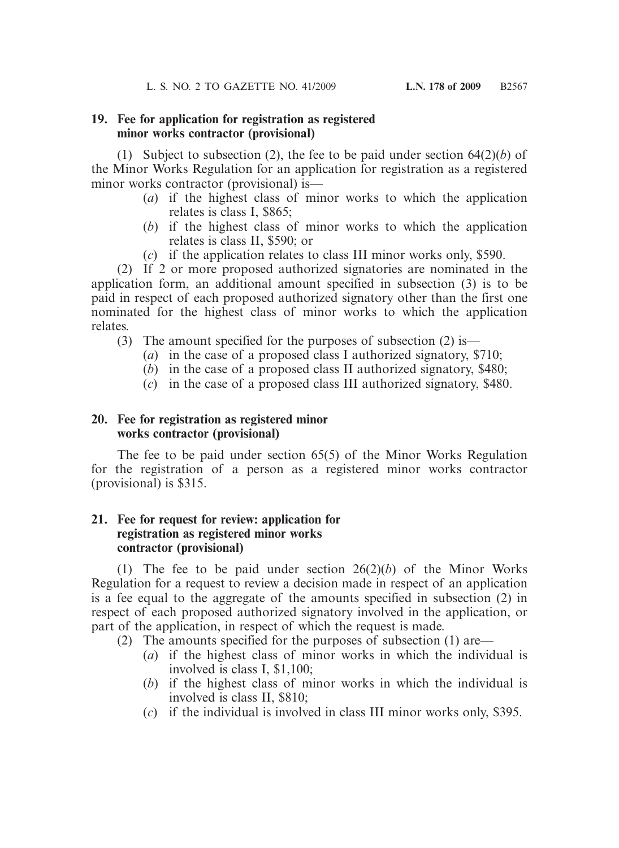#### **19. Fee for application for registration as registered minor works contractor (provisional)**

(1) Subject to subsection (2), the fee to be paid under section  $64(2)(b)$  of the Minor Works Regulation for an application for registration as a registered minor works contractor (provisional) is—

- (*a*) if the highest class of minor works to which the application relates is class I, \$865;
- (*b*) if the highest class of minor works to which the application relates is class II, \$590; or
- (*c*) if the application relates to class III minor works only, \$590.

 (2) If 2 or more proposed authorized signatories are nominated in the application form, an additional amount specified in subsection (3) is to be paid in respect of each proposed authorized signatory other than the first one nominated for the highest class of minor works to which the application relates.

- (3) The amount specified for the purposes of subsection (2) is—
	- (*a*) in the case of a proposed class I authorized signatory, \$710;
	- (*b*) in the case of a proposed class II authorized signatory, \$480;
	- (*c*) in the case of a proposed class III authorized signatory, \$480.

## **20. Fee for registration as registered minor works contractor (provisional)**

 The fee to be paid under section 65(5) of the Minor Works Regulation for the registration of a person as a registered minor works contractor (provisional) is \$315.

## **21. Fee for request for review: application for registration as registered minor works contractor (provisional)**

 (1) The fee to be paid under section 26(2)(*b*) of the Minor Works Regulation for a request to review a decision made in respect of an application is a fee equal to the aggregate of the amounts specified in subsection (2) in respect of each proposed authorized signatory involved in the application, or part of the application, in respect of which the request is made.

- (2) The amounts specified for the purposes of subsection (1) are—
	- (*a*) if the highest class of minor works in which the individual is involved is class I, \$1,100;
	- (*b*) if the highest class of minor works in which the individual is involved is class II, \$810;
	- (*c*) if the individual is involved in class III minor works only, \$395.